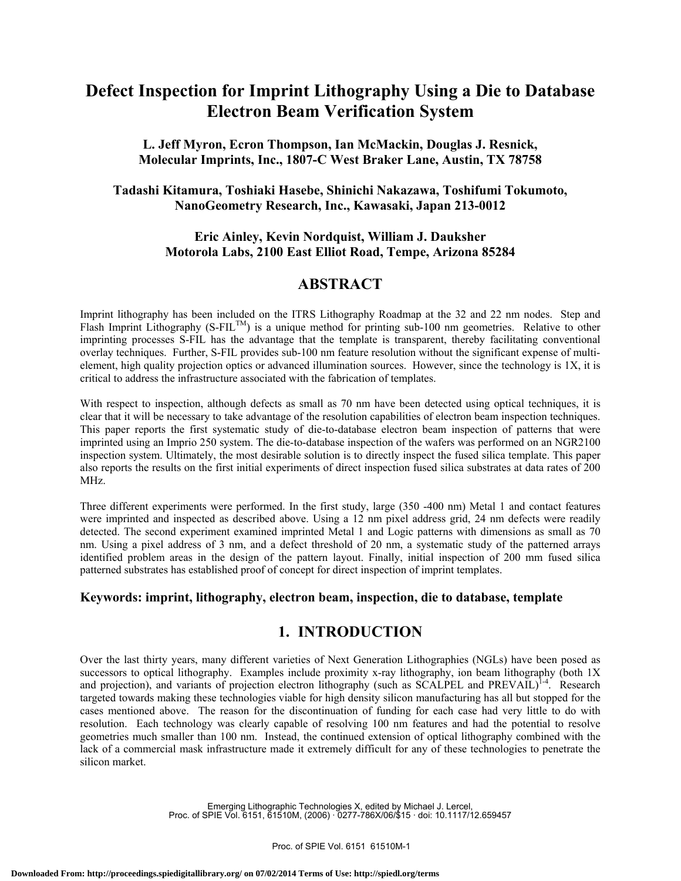# **Defect Inspection for Imprint Lithography Using a Die to Database Electron Beam Verification System**

## **L. Jeff Myron, Ecron Thompson, Ian McMackin, Douglas J. Resnick, Molecular Imprints, Inc., 1807-C West Braker Lane, Austin, TX 78758**

## **Tadashi Kitamura, Toshiaki Hasebe, Shinichi Nakazawa, Toshifumi Tokumoto, NanoGeometry Research, Inc., Kawasaki, Japan 213-0012**

### **Eric Ainley, Kevin Nordquist, William J. Dauksher Motorola Labs, 2100 East Elliot Road, Tempe, Arizona 85284**

## **ABSTRACT**

Imprint lithography has been included on the ITRS Lithography Roadmap at the 32 and 22 nm nodes. Step and Flash Imprint Lithography (S-FIL<sup>TM</sup>) is a unique method for printing sub-100 nm geometries. Relative to other imprinting processes S-FIL has the advantage that the template is transparent, thereby facilitating conventional overlay techniques. Further, S-FIL provides sub-100 nm feature resolution without the significant expense of multielement, high quality projection optics or advanced illumination sources. However, since the technology is 1X, it is critical to address the infrastructure associated with the fabrication of templates.

With respect to inspection, although defects as small as 70 nm have been detected using optical techniques, it is clear that it will be necessary to take advantage of the resolution capabilities of electron beam inspection techniques. This paper reports the first systematic study of die-to-database electron beam inspection of patterns that were imprinted using an Imprio 250 system. The die-to-database inspection of the wafers was performed on an NGR2100 inspection system. Ultimately, the most desirable solution is to directly inspect the fused silica template. This paper also reports the results on the first initial experiments of direct inspection fused silica substrates at data rates of 200 MHz.

Three different experiments were performed. In the first study, large (350 -400 nm) Metal 1 and contact features were imprinted and inspected as described above. Using a 12 nm pixel address grid, 24 nm defects were readily detected. The second experiment examined imprinted Metal 1 and Logic patterns with dimensions as small as 70 nm. Using a pixel address of 3 nm, and a defect threshold of 20 nm, a systematic study of the patterned arrays identified problem areas in the design of the pattern layout. Finally, initial inspection of 200 mm fused silica patterned substrates has established proof of concept for direct inspection of imprint templates.

### **Keywords: imprint, lithography, electron beam, inspection, die to database, template**

# **1. INTRODUCTION**

Over the last thirty years, many different varieties of Next Generation Lithographies (NGLs) have been posed as successors to optical lithography. Examples include proximity x-ray lithography, ion beam lithography (both 1X and projection), and variants of projection electron lithography (such as SCALPEL and PREVAIL)<sup>1-4</sup>. Research targeted towards making these technologies viable for high density silicon manufacturing has all but stopped for the cases mentioned above. The reason for the discontinuation of funding for each case had very little to do with resolution. Each technology was clearly capable of resolving 100 nm features and had the potential to resolve geometries much smaller than 100 nm. Instead, the continued extension of optical lithography combined with the lack of a commercial mask infrastructure made it extremely difficult for any of these technologies to penetrate the silicon market.

> Emerging Lithographic Technologies X, edited by Michael J. Lercel, Proc. of SPIE Vol. 6151, 61510M, (2006) · 0277-786X/06/\$15 · doi: 10.1117/12.659457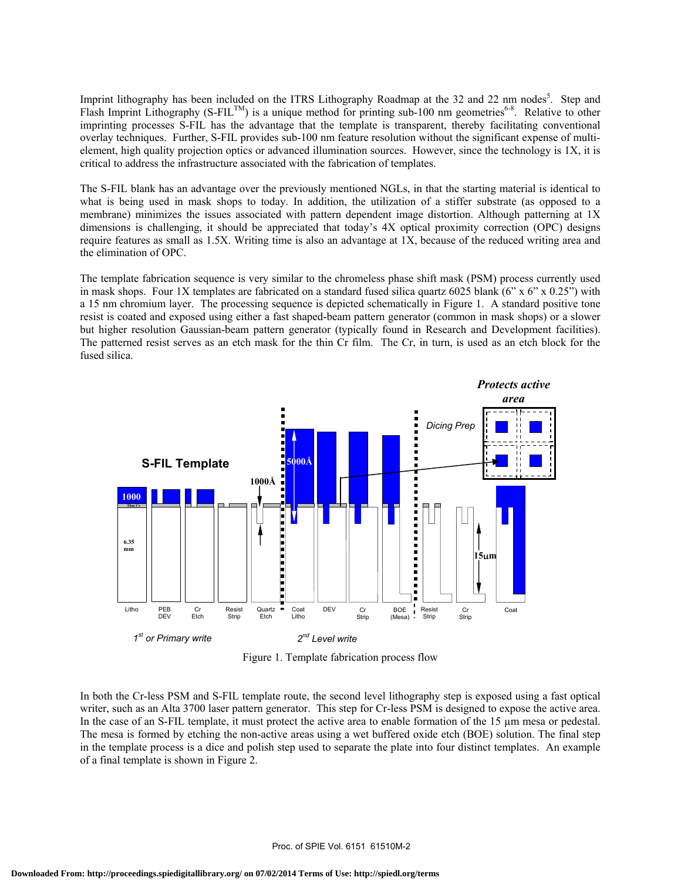Imprint lithography has been included on the ITRS Lithography Roadmap at the 32 and 22 nm nodes<sup>5</sup>. Step and Flash Imprint Lithography (S-FIL<sup>TM</sup>) is a unique method for printing sub-100 nm geometries<sup>6-8</sup>. Relative to other imprinting processes S-FIL has the advantage that the template is transparent, thereby facilitating conventional overlay techniques. Further, S-FIL provides sub-100 nm feature resolution without the significant expense of multielement, high quality projection optics or advanced illumination sources. However, since the technology is 1X, it is critical to address the infrastructure associated with the fabrication of templates.

The S-FIL blank has an advantage over the previously mentioned NGLs, in that the starting material is identical to what is being used in mask shops to today. In addition, the utilization of a stiffer substrate (as opposed to a membrane) minimizes the issues associated with pattern dependent image distortion. Although patterning at 1X dimensions is challenging, it should be appreciated that today's 4X optical proximity correction (OPC) designs require features as small as 1.5X. Writing time is also an advantage at 1X, because of the reduced writing area and the elimination of OPC.

The template fabrication sequence is very similar to the chromeless phase shift mask (PSM) process currently used in mask shops. Four 1X templates are fabricated on a standard fused silica quartz 6025 blank (6" x 6" x 0.25") with a 15 nm chromium layer. The processing sequence is depicted schematically in Figure 1. A standard positive tone resist is coated and exposed using either a fast shaped-beam pattern generator (common in mask shops) or a slower but higher resolution Gaussian-beam pattern generator (typically found in Research and Development facilities). The patterned resist serves as an etch mask for the thin Cr film. The Cr, in turn, is used as an etch block for the fused silica.



Figure 1. Template fabrication process flow

In both the Cr-less PSM and S-FIL template route, the second level lithography step is exposed using a fast optical writer, such as an Alta 3700 laser pattern generator. This step for Cr-less PSM is designed to expose the active area. In the case of an S-FIL template, it must protect the active area to enable formation of the 15 µm mesa or pedestal. The mesa is formed by etching the non-active areas using a wet buffered oxide etch (BOE) solution. The final step in the template process is a dice and polish step used to separate the plate into four distinct templates. An example of a final template is shown in Figure 2.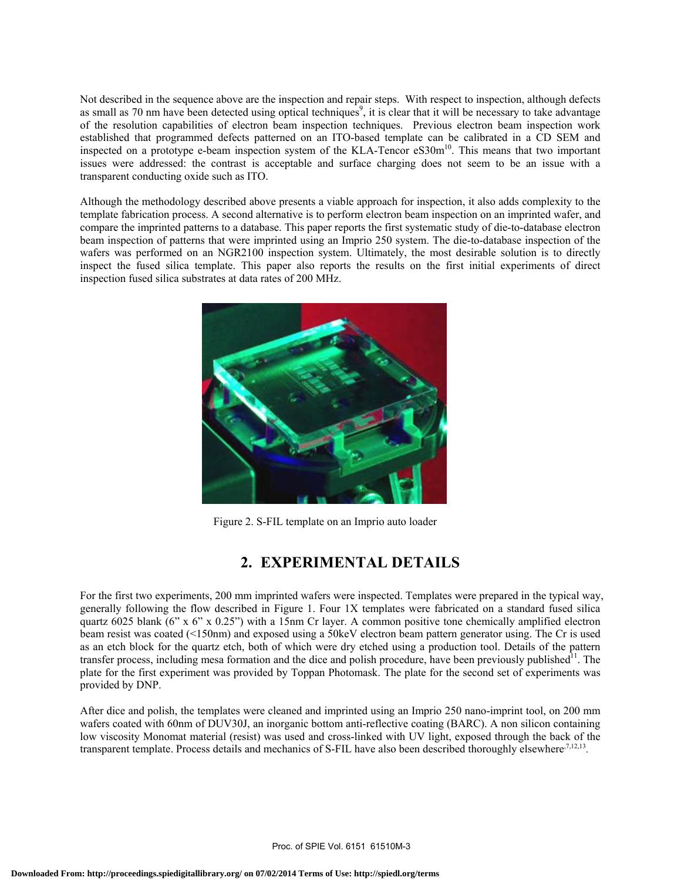Not described in the sequence above are the inspection and repair steps. With respect to inspection, although defects as small as 70 nm have been detected using optical techniques<sup>9</sup>, it is clear that it will be necessary to take advantage of the resolution capabilities of electron beam inspection techniques. Previous electron beam inspection work established that programmed defects patterned on an ITO-based template can be calibrated in a CD SEM and inspected on a prototype e-beam inspection system of the KLA-Tencor eS30m<sup>10</sup>. This means that two important issues were addressed: the contrast is acceptable and surface charging does not seem to be an issue with a transparent conducting oxide such as ITO.

Although the methodology described above presents a viable approach for inspection, it also adds complexity to the template fabrication process. A second alternative is to perform electron beam inspection on an imprinted wafer, and compare the imprinted patterns to a database. This paper reports the first systematic study of die-to-database electron beam inspection of patterns that were imprinted using an Imprio 250 system. The die-to-database inspection of the wafers was performed on an NGR2100 inspection system. Ultimately, the most desirable solution is to directly inspect the fused silica template. This paper also reports the results on the first initial experiments of direct inspection fused silica substrates at data rates of 200 MHz.



Figure 2. S-FIL template on an Imprio auto loader

# **2. EXPERIMENTAL DETAILS**

For the first two experiments, 200 mm imprinted wafers were inspected. Templates were prepared in the typical way, generally following the flow described in Figure 1. Four 1X templates were fabricated on a standard fused silica quartz 6025 blank (6" x 6" x 0.25") with a 15nm Cr layer. A common positive tone chemically amplified electron beam resist was coated (<150nm) and exposed using a 50keV electron beam pattern generator using. The Cr is used as an etch block for the quartz etch, both of which were dry etched using a production tool. Details of the pattern transfer process, including mesa formation and the dice and polish procedure, have been previously published $11$ . The plate for the first experiment was provided by Toppan Photomask. The plate for the second set of experiments was provided by DNP.

After dice and polish, the templates were cleaned and imprinted using an Imprio 250 nano-imprint tool, on 200 mm wafers coated with 60nm of DUV30J, an inorganic bottom anti-reflective coating (BARC). A non silicon containing low viscosity Monomat material (resist) was used and cross-linked with UV light, exposed through the back of the transparent template. Process details and mechanics of S-FIL have also been described thoroughly elsewhere $7,12,13$ .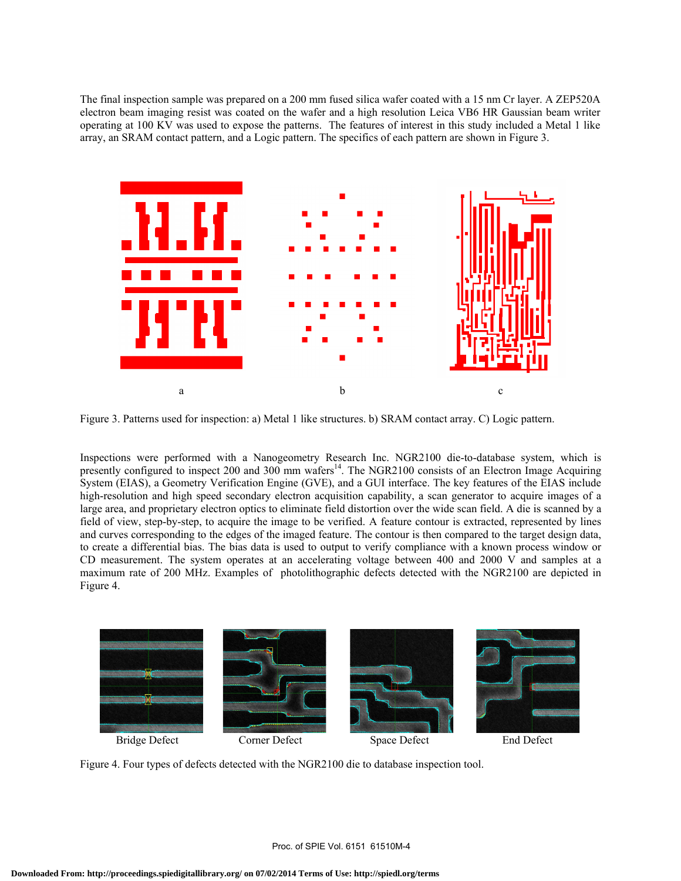The final inspection sample was prepared on a 200 mm fused silica wafer coated with a 15 nm Cr layer. A ZEP520A electron beam imaging resist was coated on the wafer and a high resolution Leica VB6 HR Gaussian beam writer operating at 100 KV was used to expose the patterns. The features of interest in this study included a Metal 1 like array, an SRAM contact pattern, and a Logic pattern. The specifics of each pattern are shown in Figure 3.



Figure 3. Patterns used for inspection: a) Metal 1 like structures. b) SRAM contact array. C) Logic pattern.

Inspections were performed with a Nanogeometry Research Inc. NGR2100 die-to-database system, which is presently configured to inspect 200 and 300 mm wafers<sup>14</sup>. The NGR2100 consists of an Electron Image Acquiring System (EIAS), a Geometry Verification Engine (GVE), and a GUI interface. The key features of the EIAS include high-resolution and high speed secondary electron acquisition capability, a scan generator to acquire images of a large area, and proprietary electron optics to eliminate field distortion over the wide scan field. A die is scanned by a field of view, step-by-step, to acquire the image to be verified. A feature contour is extracted, represented by lines and curves corresponding to the edges of the imaged feature. The contour is then compared to the target design data, to create a differential bias. The bias data is used to output to verify compliance with a known process window or CD measurement. The system operates at an accelerating voltage between 400 and 2000 V and samples at a maximum rate of 200 MHz. Examples of photolithographic defects detected with the NGR2100 are depicted in Figure 4.



Figure 4. Four types of defects detected with the NGR2100 die to database inspection tool.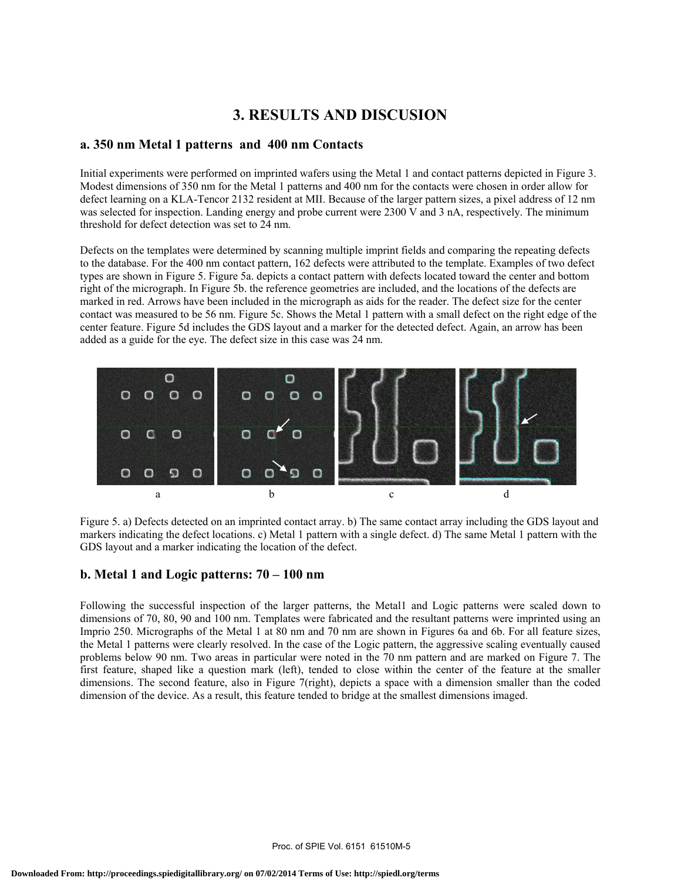# **3. RESULTS AND DISCUSION**

#### **a. 350 nm Metal 1 patterns and 400 nm Contacts**

Initial experiments were performed on imprinted wafers using the Metal 1 and contact patterns depicted in Figure 3. Modest dimensions of 350 nm for the Metal 1 patterns and 400 nm for the contacts were chosen in order allow for defect learning on a KLA-Tencor 2132 resident at MII. Because of the larger pattern sizes, a pixel address of 12 nm was selected for inspection. Landing energy and probe current were 2300 V and 3 nA, respectively. The minimum threshold for defect detection was set to 24 nm.

Defects on the templates were determined by scanning multiple imprint fields and comparing the repeating defects to the database. For the 400 nm contact pattern, 162 defects were attributed to the template. Examples of two defect types are shown in Figure 5. Figure 5a. depicts a contact pattern with defects located toward the center and bottom right of the micrograph. In Figure 5b. the reference geometries are included, and the locations of the defects are marked in red. Arrows have been included in the micrograph as aids for the reader. The defect size for the center contact was measured to be 56 nm. Figure 5c. Shows the Metal 1 pattern with a small defect on the right edge of the center feature. Figure 5d includes the GDS layout and a marker for the detected defect. Again, an arrow has been added as a guide for the eye. The defect size in this case was 24 nm.



Figure 5. a) Defects detected on an imprinted contact array. b) The same contact array including the GDS layout and markers indicating the defect locations. c) Metal 1 pattern with a single defect. d) The same Metal 1 pattern with the GDS layout and a marker indicating the location of the defect.

#### **b. Metal 1 and Logic patterns: 70 – 100 nm**

Following the successful inspection of the larger patterns, the Metal1 and Logic patterns were scaled down to dimensions of 70, 80, 90 and 100 nm. Templates were fabricated and the resultant patterns were imprinted using an Imprio 250. Micrographs of the Metal 1 at 80 nm and 70 nm are shown in Figures 6a and 6b. For all feature sizes, the Metal 1 patterns were clearly resolved. In the case of the Logic pattern, the aggressive scaling eventually caused problems below 90 nm. Two areas in particular were noted in the 70 nm pattern and are marked on Figure 7. The first feature, shaped like a question mark (left), tended to close within the center of the feature at the smaller dimensions. The second feature, also in Figure 7(right), depicts a space with a dimension smaller than the coded dimension of the device. As a result, this feature tended to bridge at the smallest dimensions imaged.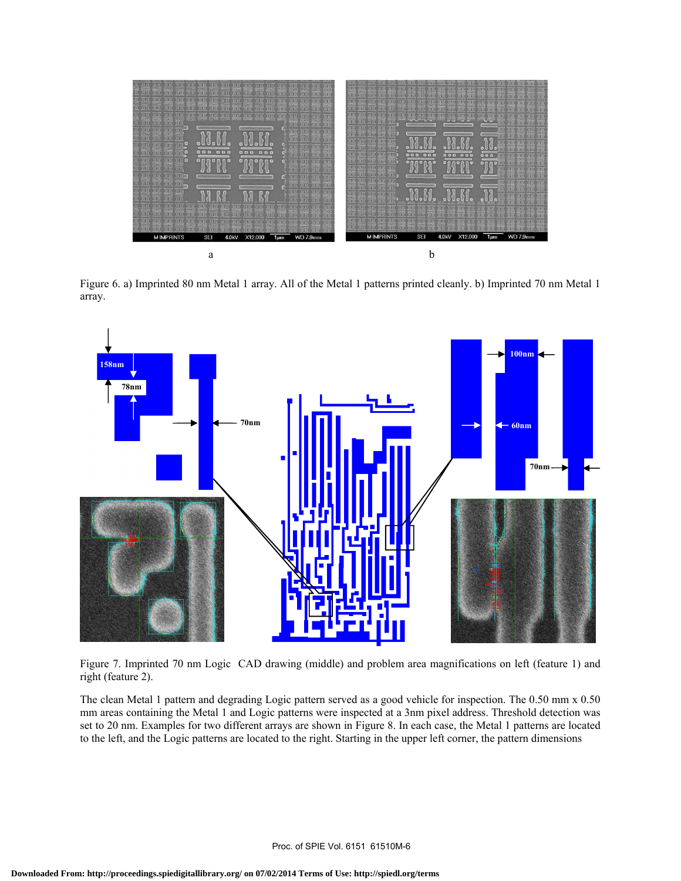

Figure 6. a) Imprinted 80 nm Metal 1 array. All of the Metal 1 patterns printed cleanly. b) Imprinted 70 nm Metal 1 array.



Figure 7. Imprinted 70 nm Logic CAD drawing (middle) and problem area magnifications on left (feature 1) and right (feature 2).

The clean Metal 1 pattern and degrading Logic pattern served as a good vehicle for inspection. The 0.50 mm x 0.50 mm areas containing the Metal 1 and Logic patterns were inspected at a 3nm pixel address. Threshold detection was set to 20 nm. Examples for two different arrays are shown in Figure 8. In each case, the Metal 1 patterns are located to the left, and the Logic patterns are located to the right. Starting in the upper left corner, the pattern dimensions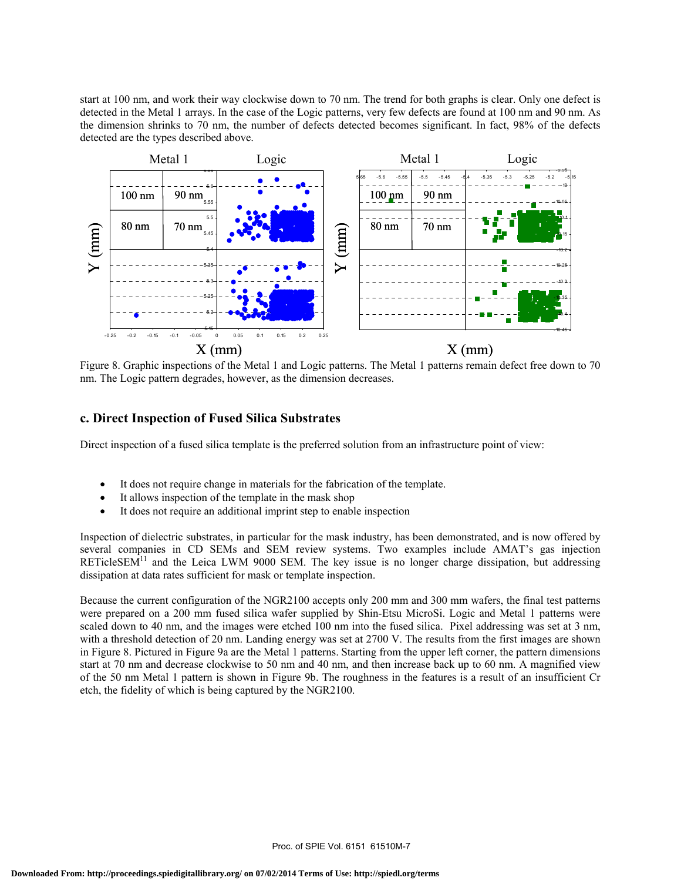start at 100 nm, and work their way clockwise down to 70 nm. The trend for both graphs is clear. Only one defect is detected in the Metal 1 arrays. In the case of the Logic patterns, very few defects are found at 100 nm and 90 nm. As the dimension shrinks to 70 nm, the number of defects detected becomes significant. In fact, 98% of the defects detected are the types described above.



Figure 8. Graphic inspections of the Metal 1 and Logic patterns. The Metal 1 patterns remain defect free down to 70 nm. The Logic pattern degrades, however, as the dimension decreases.

#### **c. Direct Inspection of Fused Silica Substrates**

Direct inspection of a fused silica template is the preferred solution from an infrastructure point of view:

- It does not require change in materials for the fabrication of the template.
- It allows inspection of the template in the mask shop
- It does not require an additional imprint step to enable inspection

Inspection of dielectric substrates, in particular for the mask industry, has been demonstrated, and is now offered by several companies in CD SEMs and SEM review systems. Two examples include AMAT's gas injection  $RETicleSEM$ <sup>11</sup> and the Leica LWM 9000 SEM. The key issue is no longer charge dissipation, but addressing dissipation at data rates sufficient for mask or template inspection.

Because the current configuration of the NGR2100 accepts only 200 mm and 300 mm wafers, the final test patterns were prepared on a 200 mm fused silica wafer supplied by Shin-Etsu MicroSi. Logic and Metal 1 patterns were scaled down to 40 nm, and the images were etched 100 nm into the fused silica. Pixel addressing was set at 3 nm, with a threshold detection of 20 nm. Landing energy was set at 2700 V. The results from the first images are shown in Figure 8. Pictured in Figure 9a are the Metal 1 patterns. Starting from the upper left corner, the pattern dimensions start at 70 nm and decrease clockwise to 50 nm and 40 nm, and then increase back up to 60 nm. A magnified view of the 50 nm Metal 1 pattern is shown in Figure 9b. The roughness in the features is a result of an insufficient Cr etch, the fidelity of which is being captured by the NGR2100.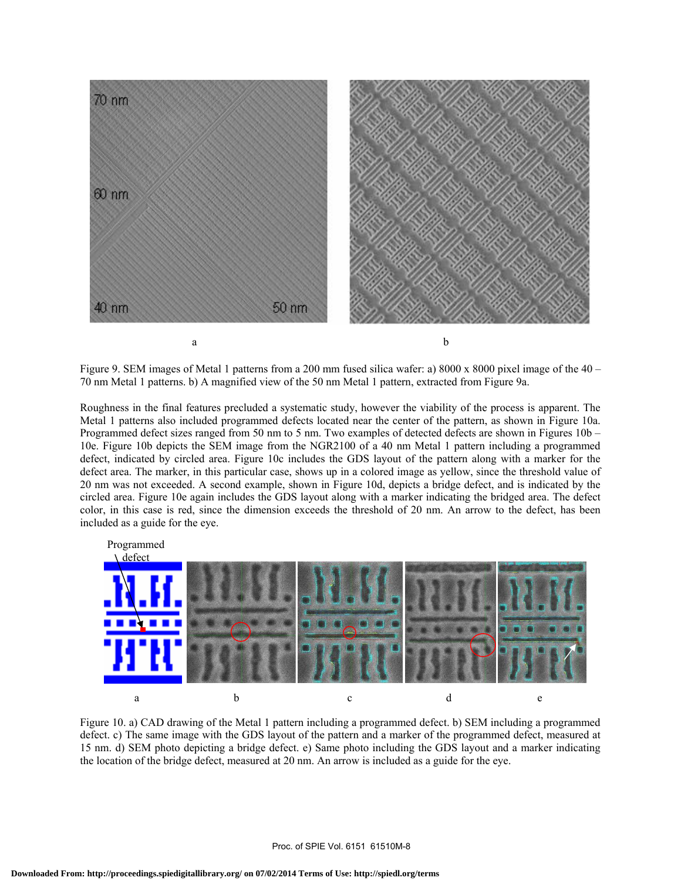

Figure 9. SEM images of Metal 1 patterns from a 200 mm fused silica wafer: a) 8000 x 8000 pixel image of the  $40 -$ 70 nm Metal 1 patterns. b) A magnified view of the 50 nm Metal 1 pattern, extracted from Figure 9a.

Roughness in the final features precluded a systematic study, however the viability of the process is apparent. The Metal 1 patterns also included programmed defects located near the center of the pattern, as shown in Figure 10a. Programmed defect sizes ranged from 50 nm to 5 nm. Two examples of detected defects are shown in Figures 10b – 10e. Figure 10b depicts the SEM image from the NGR2100 of a 40 nm Metal 1 pattern including a programmed defect, indicated by circled area. Figure 10c includes the GDS layout of the pattern along with a marker for the defect area. The marker, in this particular case, shows up in a colored image as yellow, since the threshold value of 20 nm was not exceeded. A second example, shown in Figure 10d, depicts a bridge defect, and is indicated by the circled area. Figure 10e again includes the GDS layout along with a marker indicating the bridged area. The defect color, in this case is red, since the dimension exceeds the threshold of 20 nm. An arrow to the defect, has been included as a guide for the eye.



Figure 10. a) CAD drawing of the Metal 1 pattern including a programmed defect. b) SEM including a programmed defect. c) The same image with the GDS layout of the pattern and a marker of the programmed defect, measured at 15 nm. d) SEM photo depicting a bridge defect. e) Same photo including the GDS layout and a marker indicating the location of the bridge defect, measured at 20 nm. An arrow is included as a guide for the eye.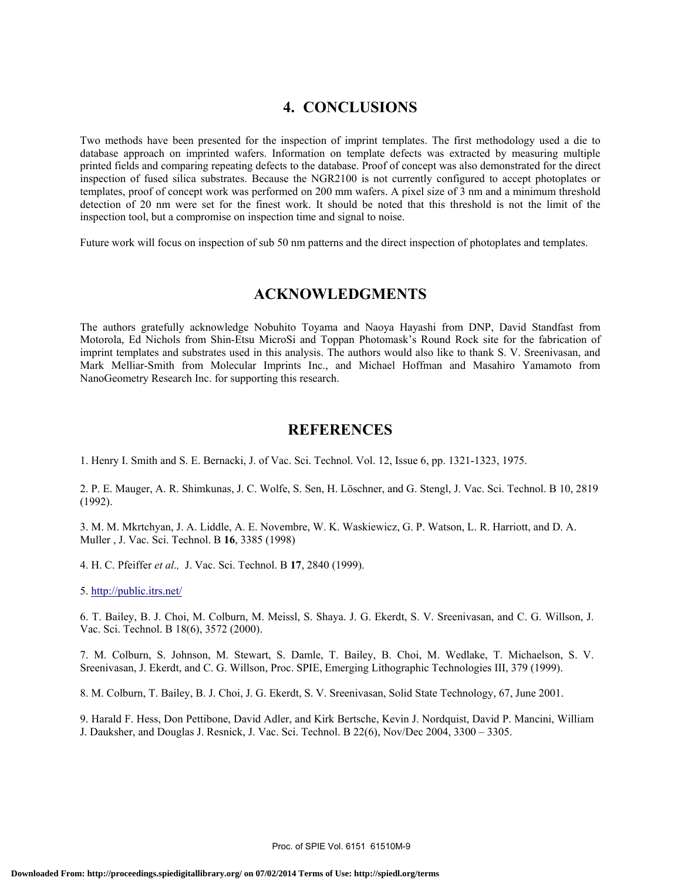# **4. CONCLUSIONS**

Two methods have been presented for the inspection of imprint templates. The first methodology used a die to database approach on imprinted wafers. Information on template defects was extracted by measuring multiple printed fields and comparing repeating defects to the database. Proof of concept was also demonstrated for the direct inspection of fused silica substrates. Because the NGR2100 is not currently configured to accept photoplates or templates, proof of concept work was performed on 200 mm wafers. A pixel size of 3 nm and a minimum threshold detection of 20 nm were set for the finest work. It should be noted that this threshold is not the limit of the inspection tool, but a compromise on inspection time and signal to noise.

Future work will focus on inspection of sub 50 nm patterns and the direct inspection of photoplates and templates.

## **ACKNOWLEDGMENTS**

The authors gratefully acknowledge Nobuhito Toyama and Naoya Hayashi from DNP, David Standfast from Motorola, Ed Nichols from Shin-Etsu MicroSi and Toppan Photomask's Round Rock site for the fabrication of imprint templates and substrates used in this analysis. The authors would also like to thank S. V. Sreenivasan, and Mark Melliar-Smith from Molecular Imprints Inc., and Michael Hoffman and Masahiro Yamamoto from NanoGeometry Research Inc. for supporting this research.

### **REFERENCES**

1. Henry I. Smith and S. E. Bernacki, J. of Vac. Sci. Technol. Vol. 12, Issue 6, pp. 1321-1323, 1975.

2. P. E. Mauger, A. R. Shimkunas, J. C. Wolfe, S. Sen, H. Löschner, and G. Stengl, J. Vac. Sci. Technol. B 10, 2819 (1992).

3. M. M. Mkrtchyan, J. A. Liddle, A. E. Novembre, W. K. Waskiewicz, G. P. Watson, L. R. Harriott, and D. A. Muller , J. Vac. Sci. Technol. B **16**, 3385 (1998)

4. H. C. Pfeiffer *et al*.*,* J. Vac. Sci. Technol. B **17**, 2840 (1999).

5. http://public.itrs.net/

6. T. Bailey, B. J. Choi, M. Colburn, M. Meissl, S. Shaya. J. G. Ekerdt, S. V. Sreenivasan, and C. G. Willson, J. Vac. Sci. Technol. B 18(6), 3572 (2000).

7. M. Colburn, S. Johnson, M. Stewart, S. Damle, T. Bailey, B. Choi, M. Wedlake, T. Michaelson, S. V. Sreenivasan, J. Ekerdt, and C. G. Willson, Proc. SPIE, Emerging Lithographic Technologies III, 379 (1999).

8. M. Colburn, T. Bailey, B. J. Choi, J. G. Ekerdt, S. V. Sreenivasan, Solid State Technology, 67, June 2001.

9. Harald F. Hess, Don Pettibone, David Adler, and Kirk Bertsche, Kevin J. Nordquist, David P. Mancini, William J. Dauksher, and Douglas J. Resnick, J. Vac. Sci. Technol. B 22(6), Nov/Dec 2004, 3300 – 3305.